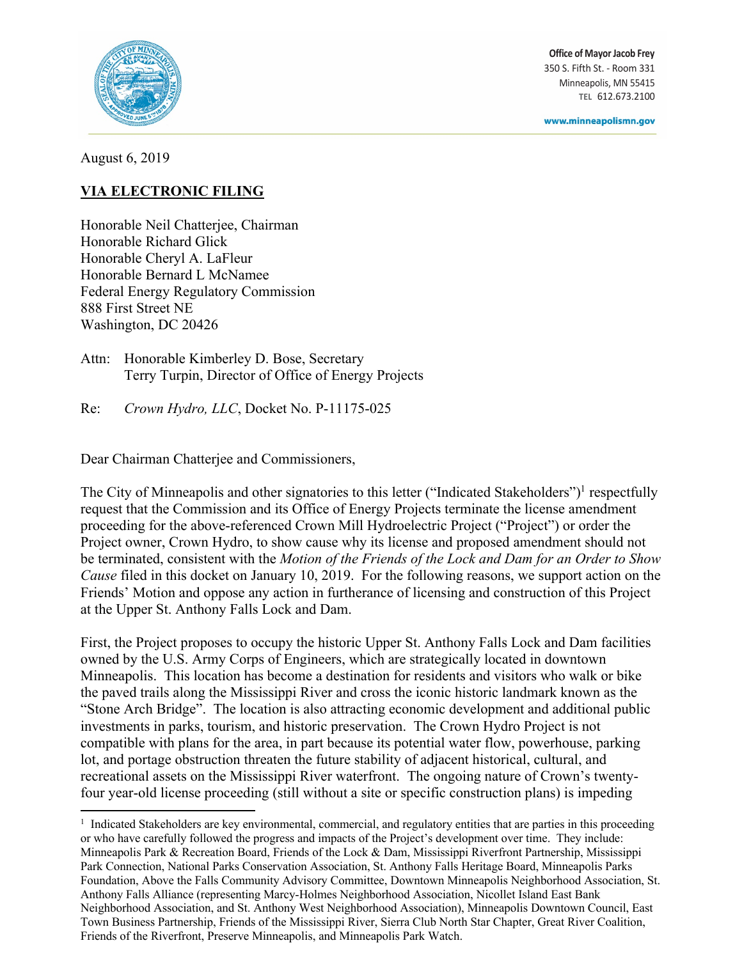

**Office of Mayor Jacob Frey** 350 S. Fifth St. - Room 331 Minneapolis, MN 55415 **TEL** 612.673.2100

www.minneapolismn.gov

August 6, 2019

## **VIA ELECTRONIC FILING**

Honorable Neil Chatterjee, Chairman Honorable Richard Glick Honorable Cheryl A. LaFleur Honorable Bernard L McNamee Federal Energy Regulatory Commission 888 First Street NE Washington, DC 20426

Attn: Honorable Kimberley D. Bose, Secretary Terry Turpin, Director of Office of Energy Projects

Re: *Crown Hydro, LLC*, Docket No. P-11175-025

Dear Chairman Chatterjee and Commissioners,

The City of Minneapolis and other signatories to this letter ("Indicated Stakeholders")<sup>1</sup> respectfully request that the Commission and its Office of Energy Projects terminate the license amendment proceeding for the above-referenced Crown Mill Hydroelectric Project ("Project") or order the Project owner, Crown Hydro, to show cause why its license and proposed amendment should not be terminated, consistent with the *Motion of the Friends of the Lock and Dam for an Order to Show Cause* filed in this docket on January 10, 2019. For the following reasons, we support action on the Friends' Motion and oppose any action in furtherance of licensing and construction of this Project at the Upper St. Anthony Falls Lock and Dam.

First, the Project proposes to occupy the historic Upper St. Anthony Falls Lock and Dam facilities owned by the U.S. Army Corps of Engineers, which are strategically located in downtown Minneapolis. This location has become a destination for residents and visitors who walk or bike the paved trails along the Mississippi River and cross the iconic historic landmark known as the "Stone Arch Bridge". The location is also attracting economic development and additional public investments in parks, tourism, and historic preservation. The Crown Hydro Project is not compatible with plans for the area, in part because its potential water flow, powerhouse, parking lot, and portage obstruction threaten the future stability of adjacent historical, cultural, and recreational assets on the Mississippi River waterfront. The ongoing nature of Crown's twentyfour year-old license proceeding (still without a site or specific construction plans) is impeding

 $\overline{\phantom{a}}$ <sup>1</sup> Indicated Stakeholders are key environmental, commercial, and regulatory entities that are parties in this proceeding or who have carefully followed the progress and impacts of the Project's development over time. They include: Minneapolis Park & Recreation Board, Friends of the Lock & Dam, Mississippi Riverfront Partnership, Mississippi Park Connection, National Parks Conservation Association, St. Anthony Falls Heritage Board, Minneapolis Parks Foundation, Above the Falls Community Advisory Committee, Downtown Minneapolis Neighborhood Association, St. Anthony Falls Alliance (representing Marcy-Holmes Neighborhood Association, Nicollet Island East Bank Neighborhood Association, and St. Anthony West Neighborhood Association), Minneapolis Downtown Council, East Town Business Partnership, Friends of the Mississippi River, Sierra Club North Star Chapter, Great River Coalition, Friends of the Riverfront, Preserve Minneapolis, and Minneapolis Park Watch.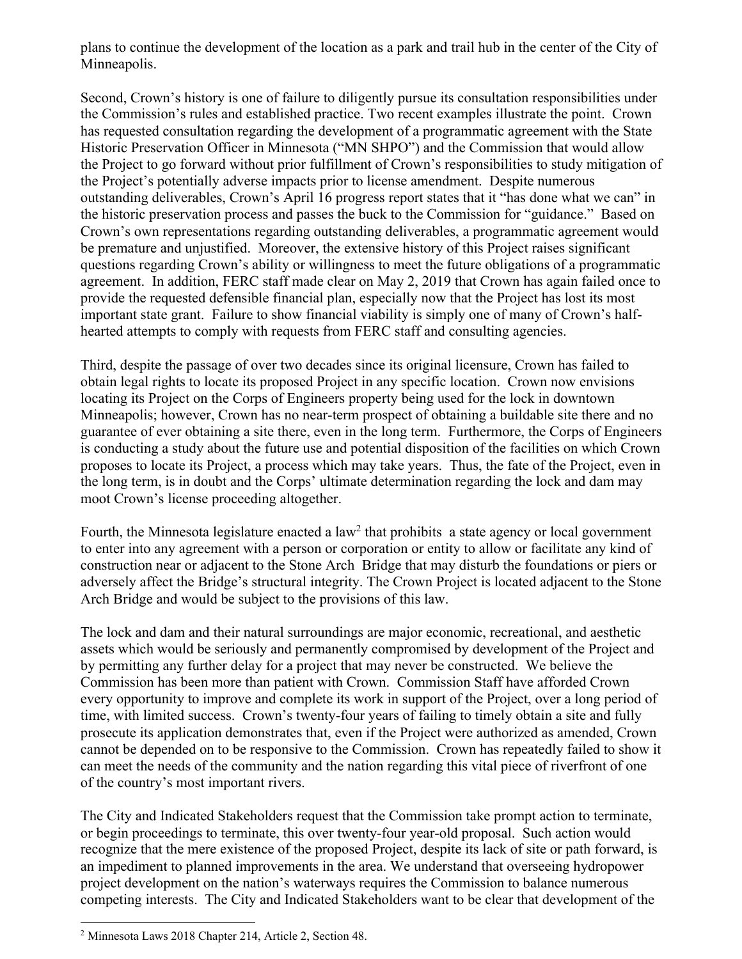plans to continue the development of the location as a park and trail hub in the center of the City of Minneapolis.

Second, Crown's history is one of failure to diligently pursue its consultation responsibilities under the Commission's rules and established practice. Two recent examples illustrate the point. Crown has requested consultation regarding the development of a programmatic agreement with the State Historic Preservation Officer in Minnesota ("MN SHPO") and the Commission that would allow the Project to go forward without prior fulfillment of Crown's responsibilities to study mitigation of the Project's potentially adverse impacts prior to license amendment. Despite numerous outstanding deliverables, Crown's April 16 progress report states that it "has done what we can" in the historic preservation process and passes the buck to the Commission for "guidance." Based on Crown's own representations regarding outstanding deliverables, a programmatic agreement would be premature and unjustified. Moreover, the extensive history of this Project raises significant questions regarding Crown's ability or willingness to meet the future obligations of a programmatic agreement. In addition, FERC staff made clear on May 2, 2019 that Crown has again failed once to provide the requested defensible financial plan, especially now that the Project has lost its most important state grant. Failure to show financial viability is simply one of many of Crown's halfhearted attempts to comply with requests from FERC staff and consulting agencies.

Third, despite the passage of over two decades since its original licensure, Crown has failed to obtain legal rights to locate its proposed Project in any specific location. Crown now envisions locating its Project on the Corps of Engineers property being used for the lock in downtown Minneapolis; however, Crown has no near-term prospect of obtaining a buildable site there and no guarantee of ever obtaining a site there, even in the long term. Furthermore, the Corps of Engineers is conducting a study about the future use and potential disposition of the facilities on which Crown proposes to locate its Project, a process which may take years. Thus, the fate of the Project, even in the long term, is in doubt and the Corps' ultimate determination regarding the lock and dam may moot Crown's license proceeding altogether.

Fourth, the Minnesota legislature enacted a law<sup>2</sup> that prohibits a state agency or local government to enter into any agreement with a person or corporation or entity to allow or facilitate any kind of construction near or adjacent to the Stone Arch Bridge that may disturb the foundations or piers or adversely affect the Bridge's structural integrity. The Crown Project is located adjacent to the Stone Arch Bridge and would be subject to the provisions of this law.

The lock and dam and their natural surroundings are major economic, recreational, and aesthetic assets which would be seriously and permanently compromised by development of the Project and by permitting any further delay for a project that may never be constructed. We believe the Commission has been more than patient with Crown. Commission Staff have afforded Crown every opportunity to improve and complete its work in support of the Project, over a long period of time, with limited success. Crown's twenty-four years of failing to timely obtain a site and fully prosecute its application demonstrates that, even if the Project were authorized as amended, Crown cannot be depended on to be responsive to the Commission. Crown has repeatedly failed to show it can meet the needs of the community and the nation regarding this vital piece of riverfront of one of the country's most important rivers.

The City and Indicated Stakeholders request that the Commission take prompt action to terminate, or begin proceedings to terminate, this over twenty-four year-old proposal. Such action would recognize that the mere existence of the proposed Project, despite its lack of site or path forward, is an impediment to planned improvements in the area. We understand that overseeing hydropower project development on the nation's waterways requires the Commission to balance numerous competing interests. The City and Indicated Stakeholders want to be clear that development of the

l

<sup>2</sup> Minnesota Laws 2018 Chapter 214, Article 2, Section 48.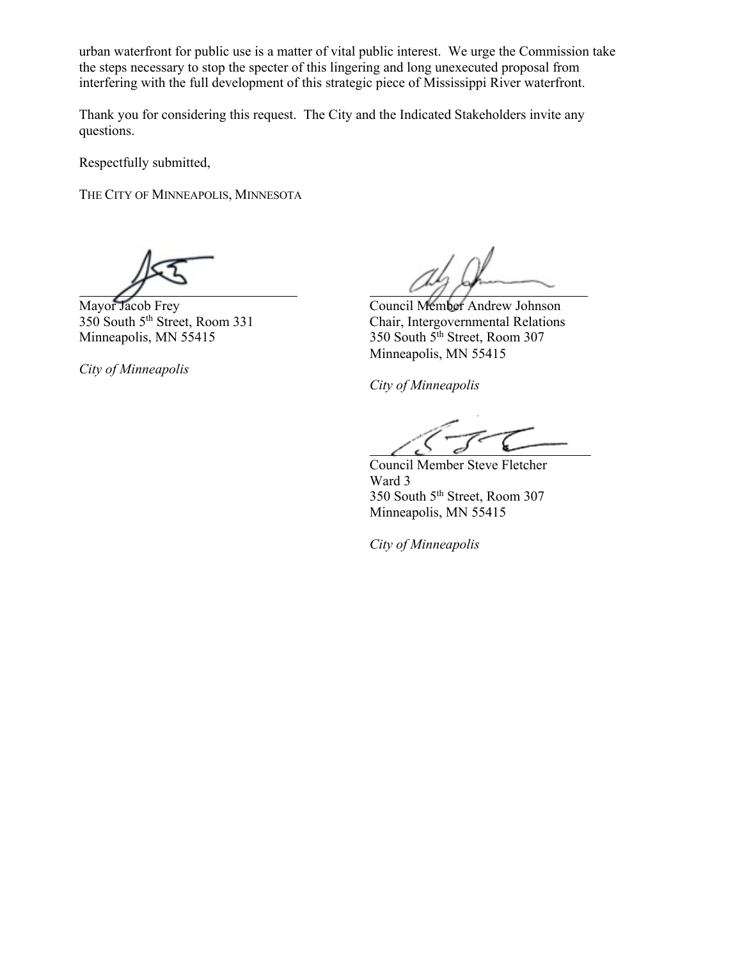urban waterfront for public use is a matter of vital public interest. We urge the Commission take the steps necessary to stop the specter of this lingering and long unexecuted proposal from interfering with the full development of this strategic piece of Mississippi River waterfront.

Thank you for considering this request. The City and the Indicated Stakeholders invite any questions.

Respectfully submitted,

THE CITY OF MINNEAPOLIS, MINNESOTA

*City of Minneapolis*

Mayor Jacob Frey Council Member Andrew Johnson<br>350 South 5<sup>th</sup> Street, Room 331 Chair, Intergovernmental Relations Chair, Intergovernmental Relations Minneapolis, MN  $55415$  350 South  $5<sup>th</sup>$  Street, Room 307 Minneapolis, MN 55415

*City of Minneapolis*

Council Member Steve Fletcher Ward 3 350 South 5th Street, Room 307 Minneapolis, MN 55415

*City of Minneapolis*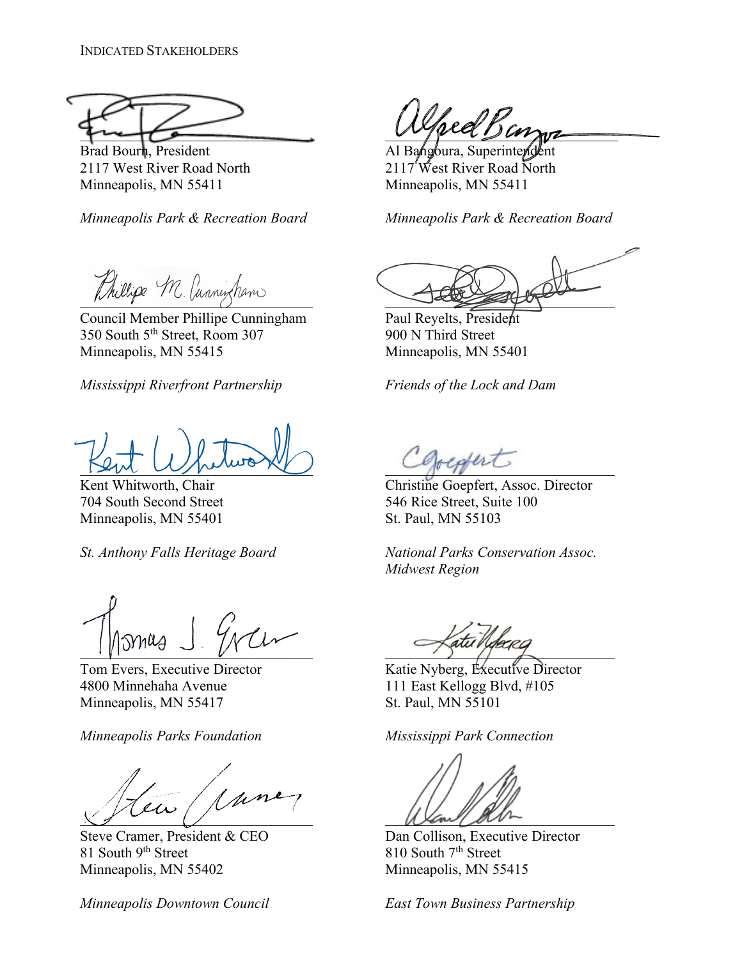Minneapolis, MN 55411 Minneapolis, MN 55411

*Minneapolis Park & Recreation Board Minneapolis Park & Recreation Board*

Phillips M. Cunningham

 Council Member Phillipe Cunningham Paul Reyelts, President 350 South 5<sup>th</sup> Street, Room 307 900 N Third Street Minneapolis, MN 55415 Minneapolis, MN 55401

*Mississippi Riverfront Partnership Friends of the Lock and Dam*

Minneapolis, MN 55401 St. Paul, MN 55103

4800 Minnehaha Avenue 111 East Kellogg Blvd, #105 Minneapolis, MN 55417 St. Paul, MN 55101

*Minneapolis Parks Foundation Mississippi Park Connection*

en (parce 

81 South 9<sup>th</sup> Street 810 South 7<sup>th</sup> Street Minneapolis, MN 55402 Minneapolis, MN 55415

*Minneapolis Downtown Council East Town Business Partnership*

Speel Ban

Brad Bourn, President and Al Bangoura, Superintendent 2117 West River Road North 2117 West River Road North

Kent Whitworth, Chair Christine Goepfert, Assoc. Director 704 South Second Street 546 Rice Street, Suite 100

*St. Anthony Falls Heritage Board National Parks Conservation Assoc. Midwest Region*

Tom Evers, Executive Director Katie Nyberg, Executive Director

Steve Cramer, President & CEO Dan Collison, Executive Director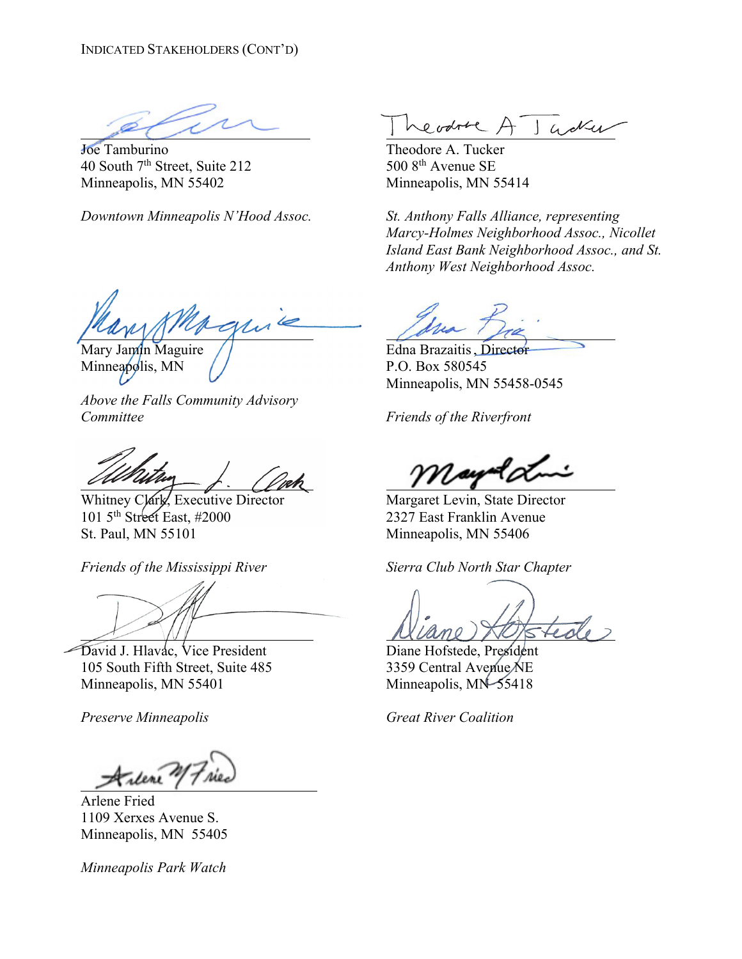Joe Tamburino Theodore A. Tucker 40 South  $7<sup>th</sup>$  Street, Suite 212 500 8<sup>th</sup> Avenue SE Minneapolis, MN 55402 Minneapolis, MN 55414

 Mary Jamin Maguire // The Collection Communication Edna Brazaitis, Director

Minneapolis, MN  $//$  P.O. Box 580545

*Above the Falls Community Advisory Committee Friends of the Riverfront*

101 5th Street East, #2000 2327 East Franklin Avenue St. Paul, MN 55101 Minneapolis, MN 55406

*Friends of the Mississippi River Sierra Club North Star Chapter*

David J. Hlavac, Vice President Diane Hofstede, President 105 South Fifth Street, Suite 485 3359 Central Avenue NE Minneapolis, MN 55401 Minneapolis, MN 55418

*Preserve Minneapolis Great River Coalition*

Arlene Fried 1109 Xerxes Avenue S. Minneapolis, MN 55405

*Minneapolis Park Watch*

evolve A Gola

*Downtown Minneapolis N'Hood Assoc. St. Anthony Falls Alliance, representing Marcy-Holmes Neighborhood Assoc., Nicollet Island East Bank Neighborhood Assoc., and St. Anthony West Neighborhood Assoc.*

Minneapolis, MN 55458-0545

Whitney Clark, Executive Director Margaret Levin, State Director